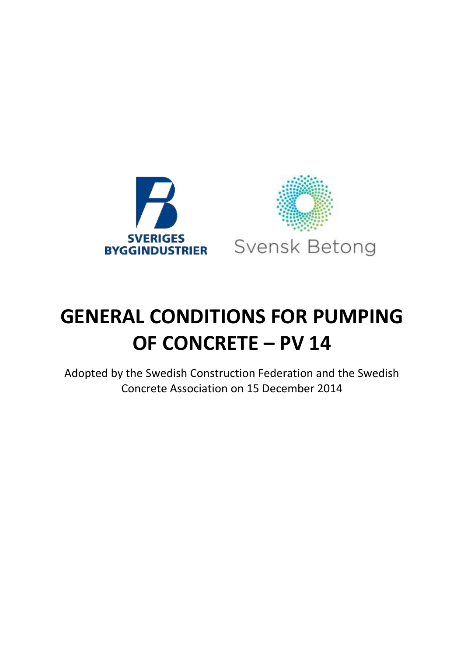

# **GENERAL CONDITIONS FOR PUMPING OF CONCRETE – PV 14**

Adopted by the Swedish Construction Federation and the Swedish Concrete Association on 15 December 2014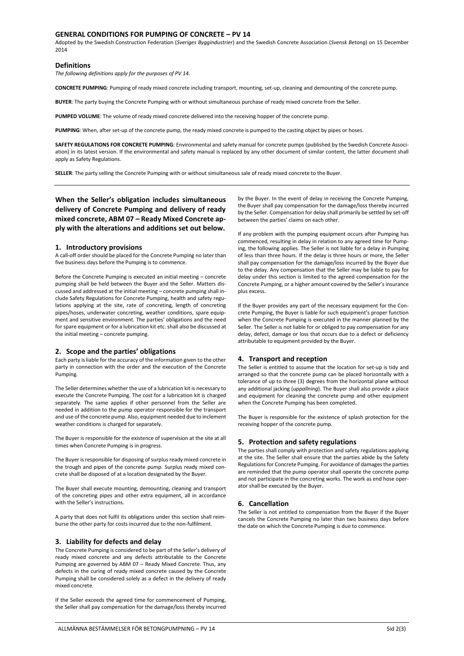# **GENERAL CONDITIONS FOR PUMPING OF CONCRETE – PV 14**

Adopted by the Swedish Construction Federation (*Sveriges Byggindustrier*) and the Swedish Concrete Association (*Svensk Betong*) on 15 December 2014

# **Definitions**

*The following definitions apply for the purposes of PV 14.*

**CONCRETE PUMPING**: Pumping of ready mixed concrete including transport, mounting, set-up, cleaning and demounting of the concrete pump.

**BUYER**: The party buying the Concrete Pumping with or without simultaneous purchase of ready mixed concrete from the Seller.

**PUMPED VOLUME**: The volume of ready mixed concrete delivered into the receiving hopper of the concrete pump.

**PUMPING**: When, after set-up of the concrete pump, the ready mixed concrete is pumped to the casting object by pipes or hoses.

**SAFETY REGULATIONS FOR CONCRETE PUMPING**: Environmental and safety manual for concrete pumps (published by the Swedish Concrete Association) in its latest version. If the environmental and safety manual is replaced by any other document of similar content, the latter document shall apply as Safety Regulations.

**SELLER**: The party selling the Concrete Pumping with or without simultaneous sale of ready mixed concrete to the Buyer.

**When the Seller's obligation includes simultaneous delivery of Concrete Pumping and delivery of ready mixed concrete, ABM 07 – Ready Mixed Concrete apply with the alterations and additions set out below.** 

## **1. Introductory provisions**

A call-off order should be placed for the Concrete Pumping no later than five business days before the Pumping is to commence.

Before the Concrete Pumping is executed an initial meeting – concrete pumping shall be held between the Buyer and the Seller. Matters discussed and addressed at the initial meeting – concrete pumping shall include Safety Regulations for Concrete Pumping, health and safety regulations applying at the site, rate of concreting, length of concreting pipes/hoses, underwater concreting, weather conditions, spare equipment and sensitive environment. The parties' obligations and the need for spare equipment or for a lubrication kit etc. shall also be discussed at the initial meeting – concrete pumping.

## **2. Scope and the parties' obligations**

Each party is liable for the accuracy of the information given to the other party in connection with the order and the execution of the Concrete Pumping.

The Seller determines whether the use of a lubrication kit is necessary to execute the Concrete Pumping. The cost for a lubrication kit is charged separately. The same applies if other personnel from the Seller are needed in addition to the pump operator responsible for the transport and use of the concrete pump. Also, equipment needed due to inclement weather conditions is charged for separately.

The Buyer is responsible for the existence of supervision at the site at all times when Concrete Pumping is in progress.

The Buyer is responsible for disposing of surplus ready mixed concrete in the trough and pipes of the concrete pump. Surplus ready mixed concrete shall be disposed of at a location designated by the Buyer.

The Buyer shall execute mounting, demounting, cleaning and transport of the concreting pipes and other extra equipment, all in accordance with the Seller's instructions.

A party that does not fulfil its obligations under this section shall reimburse the other party for costs incurred due to the non-fulfilment.

# **3. Liability for defects and delay**

The Concrete Pumping is considered to be part of the Seller's delivery of ready mixed concrete and any defects attributable to the Concrete Pumping are governed by ABM 07 – Ready Mixed Concrete. Thus, any defects in the curing of ready mixed concrete caused by the Concrete Pumping shall be considered solely as a defect in the delivery of ready mixed concrete.

If the Seller exceeds the agreed time for commencement of Pumping, the Seller shall pay compensation for the damage/loss thereby incurred by the Buyer. In the event of delay in receiving the Concrete Pumping, the Buyer shall pay compensation for the damage/loss thereby incurred by the Seller. Compensation for delay shall primarily be settled by set-off between the parties' claims on each other.

If any problem with the pumping equipment occurs after Pumping has commenced, resulting in delay in relation to any agreed time for Pumping, the following applies. The Seller is not liable for a delay in Pumping of less than three hours. If the delay is three hours or more, the Seller shall pay compensation for the damage/loss incurred by the Buyer due to the delay. Any compensation that the Seller may be liable to pay for delay under this section is limited to the agreed compensation for the Concrete Pumping, or a higher amount covered by the Seller's insurance plus excess.

If the Buyer provides any part of the necessary equipment for the Concrete Pumping, the Buyer is liable for such equipment's proper function when the Concrete Pumping is executed in the manner planned by the Seller. The Seller is not liable for or obliged to pay compensation for any delay, defect, damage or loss that occurs due to a defect or deficiency attributable to equipment provided by the Buyer.

### **4. Transport and reception**

The Seller is entitled to assume that the location for set-up is tidy and arranged so that the concrete pump can be placed horizontally with a tolerance of up to three (3) degrees from the horizontal plane without any additional jacking (*uppallning*). The Buyer shall also provide a place and equipment for cleaning the concrete pump and other equipment when the Concrete Pumping has been completed.

The Buyer is responsible for the existence of splash protection for the receiving hopper of the concrete pump.

# **5. Protection and safety regulations**

The parties shall comply with protection and safety regulations applying at the site. The Seller shall ensure that the parties abide by the Safety Regulations for Concrete Pumping. For avoidance of damages the parties are reminded that the pump operator shall operate the concrete pump and not participate in the concreting works. The work as end hose operator shall be executed by the Buyer.

#### **6. Cancellation**

The Seller is not entitled to compensation from the Buyer if the Buyer cancels the Concrete Pumping no later than two business days before the date on which the Concrete Pumping is due to commence.